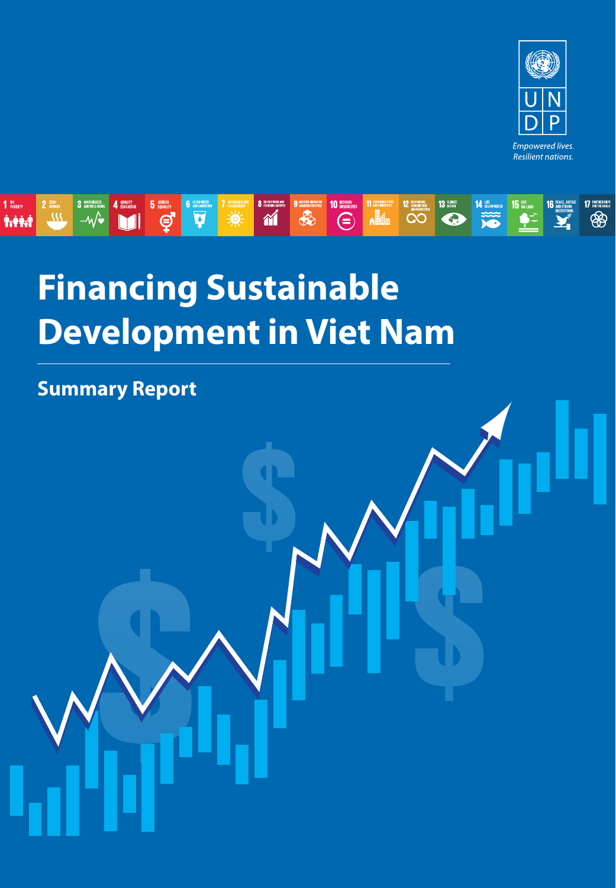



## **Financing Sustainable Development in Viet Nam**

**Summary Report**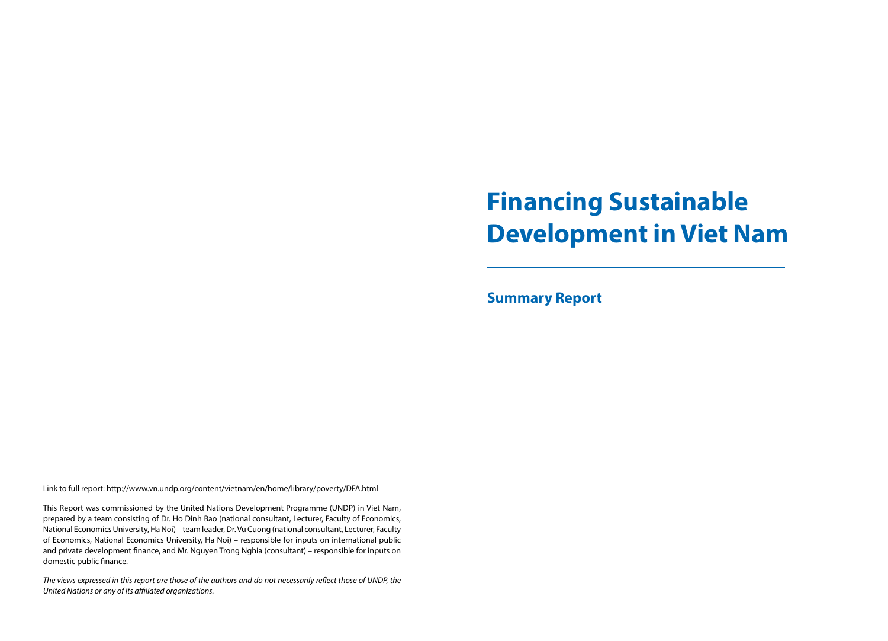# **Financing Sustainable Development in Viet Nam**

**Summary Report**

Link to full report: http://www.vn.undp.org/content/vietnam/en/home/library/poverty/DFA.html

This Report was commissioned by the United Nations Development Programme (UNDP) in Viet Nam, prepared by a team consisting of Dr. Ho Dinh Bao (national consultant, Lecturer, Faculty of Economics, National Economics University, Ha Noi) – team leader, Dr. Vu Cuong (national consultant, Lecturer, Faculty of Economics, National Economics University, Ha Noi) – responsible for inputs on international public and private development finance, and Mr. Nguyen Trong Nghia (consultant) – responsible for inputs on domestic public finance.

*The views expressed in this report are those of the authors and do not necessarily reflect those of UNDP, the United Nations or any of its affiliated organizations.*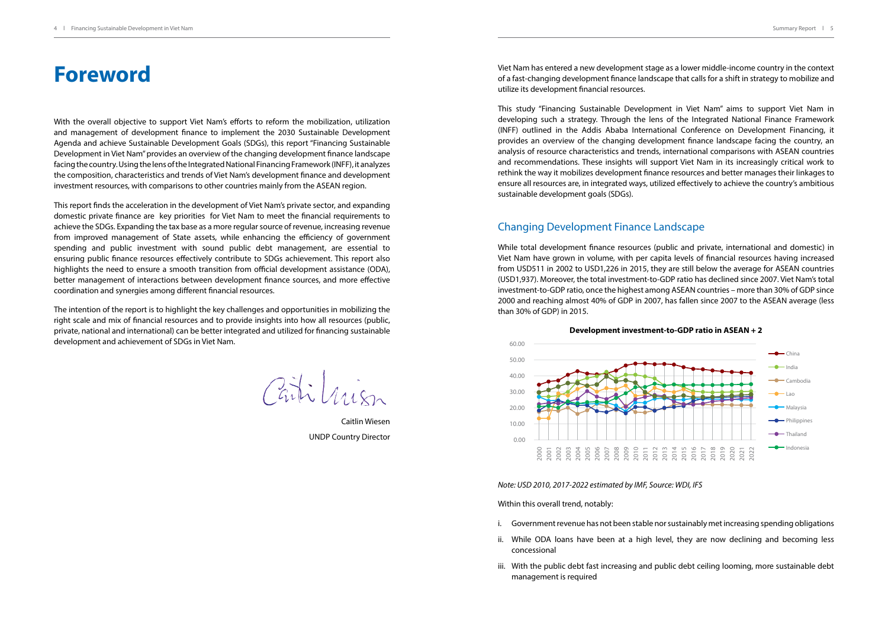## **Foreword**

With the overall objective to support Viet Nam's efforts to reform the mobilization, utilization and management of development finance to implement the 2030 Sustainable Development Agenda and achieve Sustainable Development Goals (SDGs), this report "Financing Sustainable Development in Viet Nam" provides an overview of the changing development finance landscape facing the country. Using the lens of the Integrated National Financing Framework (INFF), it analyzes the composition, characteristics and trends of Viet Nam's development finance and development investment resources, with comparisons to other countries mainly from the ASEAN region.

This report finds the acceleration in the development of Viet Nam's private sector, and expanding domestic private finance are key priorities for Viet Nam to meet the financial requirements to achieve the SDGs. Expanding the tax base as a more regular source of revenue, increasing revenue from improved management of State assets, while enhancing the efficiency of government spending and public investment with sound public debt management, are essential to ensuring public finance resources effectively contribute to SDGs achievement. This report also highlights the need to ensure a smooth transition from official development assistance (ODA), better management of interactions between development finance sources, and more effective coordination and synergies among different financial resources.

The intention of the report is to highlight the key challenges and opportunities in mobilizing the right scale and mix of financial resources and to provide insights into how all resources (public, private, national and international) can be better integrated and utilized for financing sustainable development and achievement of SDGs in Viet Nam.

Cartilian

Caitlin Wiesen UNDP Country Director

Viet Nam has entered a new development stage as a lower middle-income country in the context of a fast-changing development finance landscape that calls for a shift in strategy to mobilize and utilize its development financial resources.

This study "Financing Sustainable Development in Viet Nam" aims to support Viet Nam in developing such a strategy. Through the lens of the Integrated National Finance Framework (INFF) outlined in the Addis Ababa International Conference on Development Financing, it provides an overview of the changing development finance landscape facing the country, an analysis of resource characteristics and trends, international comparisons with ASEAN countries and recommendations. These insights will support Viet Nam in its increasingly critical work to rethink the way it mobilizes development finance resources and better manages their linkages to ensure all resources are, in integrated ways, utilized effectively to achieve the country's ambitious sustainable development goals (SDGs).

#### Changing Development Finance Landscape

While total development finance resources (public and private, international and domestic) in Viet Nam have grown in volume, with per capita levels of financial resources having increased from USD511 in 2002 to USD1,226 in 2015, they are still below the average for ASEAN countries (USD1,937). Moreover, the total investment-to-GDP ratio has declined since 2007. Viet Nam's total investment-to-GDP ratio, once the highest among ASEAN countries – more than 30% of GDP since 2000 and reaching almost 40% of GDP in 2007, has fallen since 2007 to the ASEAN average (less than 30% of GDP) in 2015.







*Note: USD 2010, 2017-2022 estimated by IMF, Source: WDI, IFS*

Within this overall trend, notably:

- i. Government revenue has not been stable nor sustainably met increasing spending obligations
- ii. While ODA loans have been at a high level, they are now declining and becoming less concessional
- iii. With the public debt fast increasing and public debt ceiling looming, more sustainable debt management is required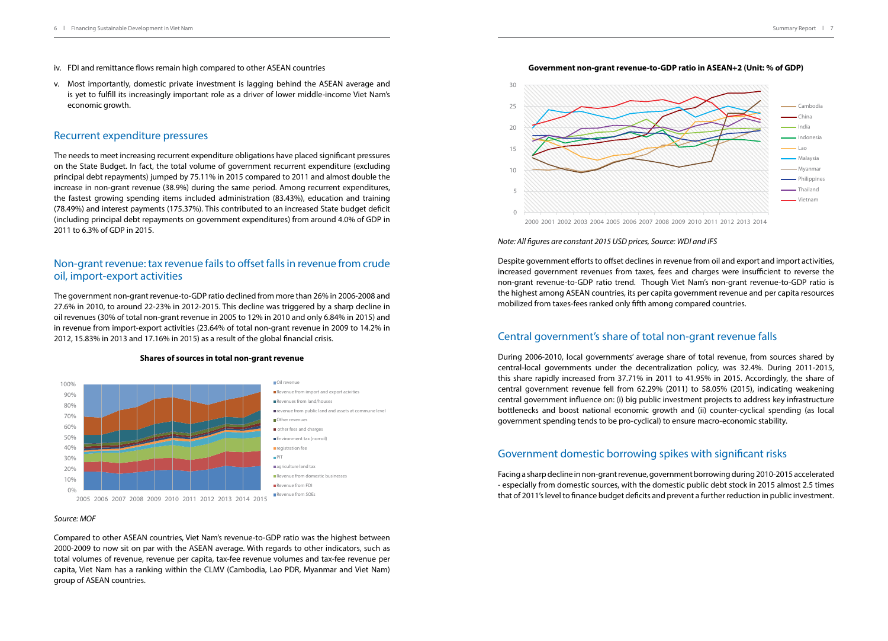- iv. FDI and remittance flows remain high compared to other ASEAN countries
- v. Most importantly, domestic private investment is lagging behind the ASEAN average and is yet to fulfill its increasingly important role as a driver of lower middle-income Viet Nam's economic growth.

#### Recurrent expenditure pressures

The needs to meet increasing recurrent expenditure obligations have placed significant pressures on the State Budget. In fact, the total volume of government recurrent expenditure (excluding principal debt repayments) jumped by 75.11% in 2015 compared to 2011 and almost double the increase in non-grant revenue (38.9%) during the same period. Among recurrent expenditures, the fastest growing spending items included administration (83.43%), education and training (78.49%) and interest payments (175.37%). This contributed to an increased State budget deficit (including principal debt repayments on government expenditures) from around 4.0% of GDP in 2011 to 6.3% of GDP in 2015.

#### Non-grant revenue: tax revenue fails to offset falls in revenue from crude oil, import-export activities

The government non-grant revenue-to-GDP ratio declined from more than 26% in 2006-2008 and 27.6% in 2010, to around 22-23% in 2012-2015. This decline was triggered by a sharp decline in oil revenues (30% of total non-grant revenue in 2005 to 12% in 2010 and only 6.84% in 2015) and in revenue from import-export activities (23.64% of total non-grant revenue in 2009 to 14.2% in 2012, 15.83% in 2013 and 17.16% in 2015) as a result of the global financial crisis.

#### **Shares of sources in total non-grant revenue**



#### *Source: MOF*

Compared to other ASEAN countries, Viet Nam's revenue-to-GDP ratio was the highest between 2000-2009 to now sit on par with the ASEAN average. With regards to other indicators, such as total volumes of revenue, revenue per capita, tax-fee revenue volumes and tax-fee revenue per capita, Viet Nam has a ranking within the CLMV (Cambodia, Lao PDR, Myanmar and Viet Nam) group of ASEAN countries.





*Note: All figures are constant 2015 USD prices, Source: WDI and IFS*

Despite government efforts to offset declines in revenue from oil and export and import activities, increased government revenues from taxes, fees and charges were insufficient to reverse the non-grant revenue-to-GDP ratio trend. Though Viet Nam's non-grant revenue-to-GDP ratio is the highest among ASEAN countries, its per capita government revenue and per capita resources mobilized from taxes-fees ranked only fifth among compared countries.

#### Central government's share of total non-grant revenue falls

During 2006-2010, local governments' average share of total revenue, from sources shared by central-local governments under the decentralization policy, was 32.4%. During 2011-2015, this share rapidly increased from 37.71% in 2011 to 41.95% in 2015. Accordingly, the share of central government revenue fell from 62.29% (2011) to 58.05% (2015), indicating weakening central government influence on: (i) big public investment projects to address key infrastructure bottlenecks and boost national economic growth and (ii) counter-cyclical spending (as local government spending tends to be pro-cyclical) to ensure macro-economic stability.

#### Government domestic borrowing spikes with significant risks

Facing a sharp decline in non-grant revenue, government borrowing during 2010-2015 accelerated - especially from domestic sources, with the domestic public debt stock in 2015 almost 2.5 times that of 2011's level to finance budget deficits and prevent a further reduction in public investment.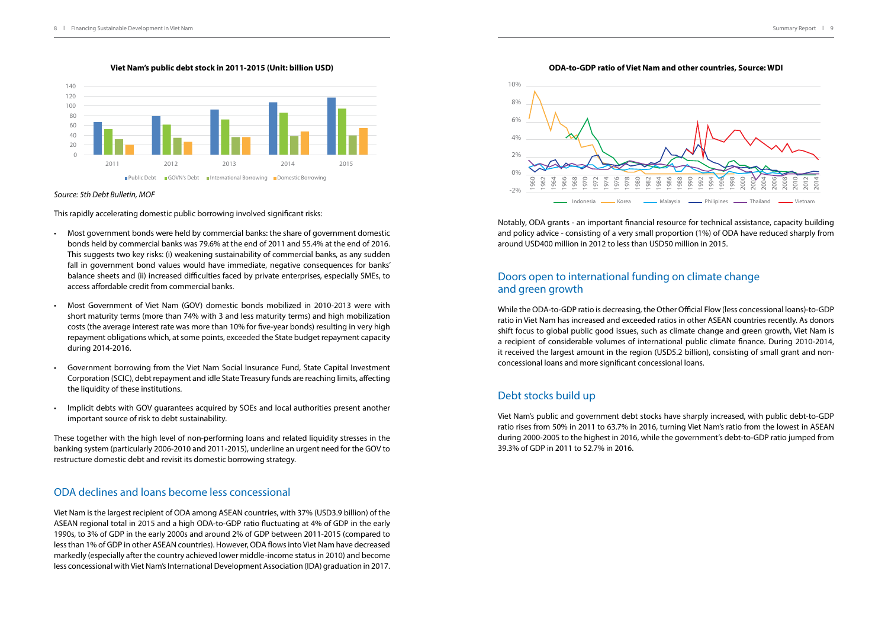**Viet Nam's public debt stock in 2011-2015 (Unit: billion USD)**



#### *Source: 5th Debt Bulletin, MOF*

This rapidly accelerating domestic public borrowing involved significant risks:

- Most government bonds were held by commercial banks: the share of government domestic bonds held by commercial banks was 79.6% at the end of 2011 and 55.4% at the end of 2016. This suggests two key risks: (i) weakening sustainability of commercial banks, as any sudden fall in government bond values would have immediate, negative consequences for banks' balance sheets and (ii) increased difficulties faced by private enterprises, especially SMEs, to access affordable credit from commercial banks.
- Most Government of Viet Nam (GOV) domestic bonds mobilized in 2010-2013 were with short maturity terms (more than 74% with 3 and less maturity terms) and high mobilization costs (the average interest rate was more than 10% for five-year bonds) resulting in very high repayment obligations which, at some points, exceeded the State budget repayment capacity during 2014-2016.
- Government borrowing from the Viet Nam Social Insurance Fund, State Capital Investment Corporation (SCIC), debt repayment and idle State Treasury funds are reaching limits, affecting the liquidity of these institutions.
- Implicit debts with GOV guarantees acquired by SOEs and local authorities present another important source of risk to debt sustainability.

These together with the high level of non-performing loans and related liquidity stresses in the banking system (particularly 2006-2010 and 2011-2015), underline an urgent need for the GOV to restructure domestic debt and revisit its domestic borrowing strategy.

#### ODA declines and loans become less concessional

Viet Nam is the largest recipient of ODA among ASEAN countries, with 37% (USD3.9 billion) of the ASEAN regional total in 2015 and a high ODA-to-GDP ratio fluctuating at 4% of GDP in the early 1990s, to 3% of GDP in the early 2000s and around 2% of GDP between 2011-2015 (compared to less than 1% of GDP in other ASEAN countries). However, ODA flows into Viet Nam have decreased markedly (especially after the country achieved lower middle-income status in 2010) and become less concessional with Viet Nam's International Development Association (IDA) graduation in 2017.

#### **ODA-to-GDP ratio of Viet Nam and other countries, Source: WDI**



Notably, ODA grants - an important financial resource for technical assistance, capacity building and policy advice - consisting of a very small proportion (1%) of ODA have reduced sharply from around USD400 million in 2012 to less than USD50 million in 2015.

#### Doors open to international funding on climate change and green growth

While the ODA-to-GDP ratio is decreasing, the Other Official Flow (less concessional loans)-to-GDP ratio in Viet Nam has increased and exceeded ratios in other ASEAN countries recently. As donors shift focus to global public good issues, such as climate change and green growth, Viet Nam is a recipient of considerable volumes of international public climate finance. During 2010-2014, it received the largest amount in the region (USD5.2 billion), consisting of small grant and nonconcessional loans and more significant concessional loans.

#### Debt stocks build up

Viet Nam's public and government debt stocks have sharply increased, with public debt-to-GDP ratio rises from 50% in 2011 to 63.7% in 2016, turning Viet Nam's ratio from the lowest in ASEAN during 2000-2005 to the highest in 2016, while the government's debt-to-GDP ratio jumped from 39.3% of GDP in 2011 to 52.7% in 2016.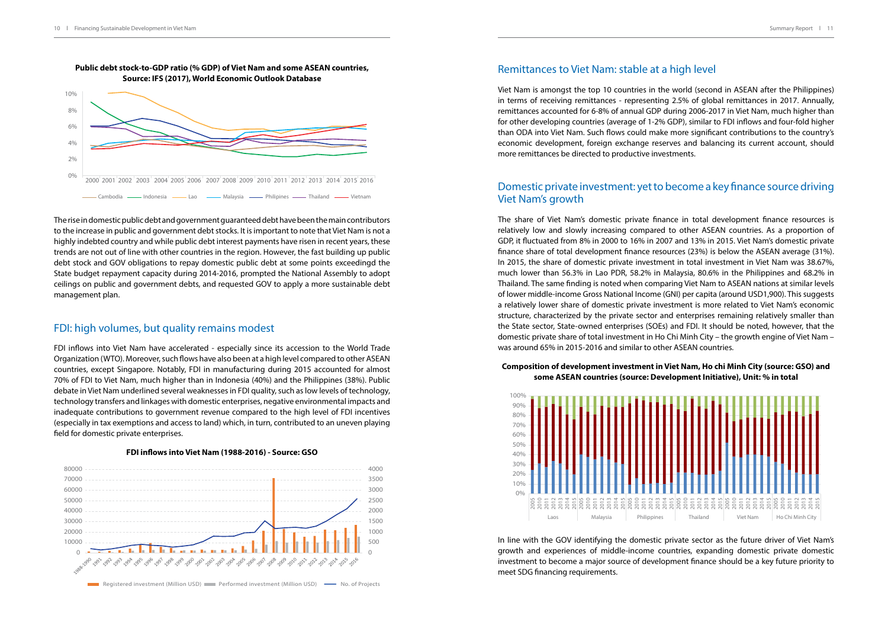

The rise in domestic public debt and government guaranteed debt have been the main contributors to the increase in public and government debt stocks. It is important to note that Viet Nam is not a highly indebted country and while public debt interest payments have risen in recent years, these trends are not out of line with other countries in the region. However, the fast building up public debt stock and GOV obligations to repay domestic public debt at some points exceedingd the State budget repayment capacity during 2014-2016, prompted the National Assembly to adopt ceilings on public and government debts, and requested GOV to apply a more sustainable debt management plan.

#### FDI: high volumes, but quality remains modest

FDI inflows into Viet Nam have accelerated - especially since its accession to the World Trade Organization (WTO). Moreover, such flows have also been at a high level compared to other ASEAN countries, except Singapore. Notably, FDI in manufacturing during 2015 accounted for almost 70% of FDI to Viet Nam, much higher than in Indonesia (40%) and the Philippines (38%). Public debate in Viet Nam underlined several weaknesses in FDI quality, such as low levels of technology, technology transfers and linkages with domestic enterprises, negative environmental impacts and inadequate contributions to government revenue compared to the high level of FDI incentives (especially in tax exemptions and access to land) which, in turn, contributed to an uneven playing field for domestic private enterprises.

**FDI inflows into Viet Nam (1988-2016) - Source: GSO**



### Remittances to Viet Nam: stable at a high level

Viet Nam is amongst the top 10 countries in the world (second in ASEAN after the Philippines) in terms of receiving remittances - representing 2.5% of global remittances in 2017. Annually, remittances accounted for 6-8% of annual GDP during 2006-2017 in Viet Nam, much higher than for other developing countries (average of 1-2% GDP), similar to FDI inflows and four-fold higher than ODA into Viet Nam. Such flows could make more significant contributions to the country's economic development, foreign exchange reserves and balancing its current account, should more remittances be directed to productive investments.

#### Domestic private investment: yet to become a key finance source driving Viet Nam's growth

The share of Viet Nam's domestic private finance in total development finance resources is relatively low and slowly increasing compared to other ASEAN countries. As a proportion of GDP, it fluctuated from 8% in 2000 to 16% in 2007 and 13% in 2015. Viet Nam's domestic private finance share of total development finance resources (23%) is below the ASEAN average (31%). In 2015, the share of domestic private investment in total investment in Viet Nam was 38.67%, much lower than 56.3% in Lao PDR, 58.2% in Malaysia, 80.6% in the Philippines and 68.2% in Thailand. The same finding is noted when comparing Viet Nam to ASEAN nations at similar levels of lower middle-income Gross National Income (GNI) per capita (around USD1,900). This suggests a relatively lower share of domestic private investment is more related to Viet Nam's economic structure, characterized by the private sector and enterprises remaining relatively smaller than the State sector, State-owned enterprises (SOEs) and FDI. It should be noted, however, that the domestic private share of total investment in Ho Chi Minh City – the growth engine of Viet Nam – was around 65% in 2015-2016 and similar to other ASEAN countries.

#### **Composition of development investment in Viet Nam, Ho chi Minh City (source: GSO) and some ASEAN countries (source: Development Initiative), Unit: % in total**



In line with the GOV identifying the domestic private sector as the future driver of Viet Nam's growth and experiences of middle-income countries, expanding domestic private domestic investment to become a major source of development finance should be a key future priority to meet SDG financing requirements.

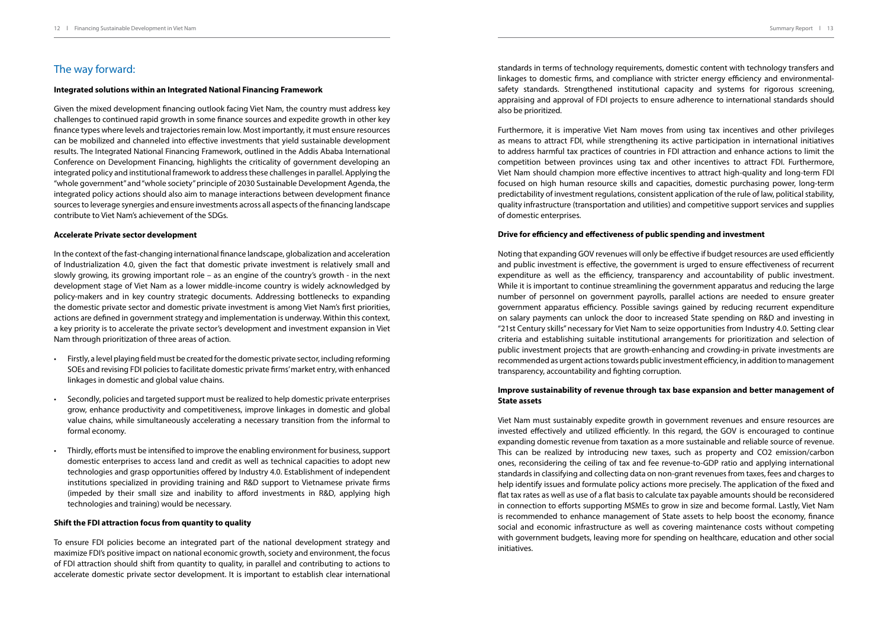### The way forward:

#### **Integrated solutions within an Integrated National Financing Framework**

Given the mixed development financing outlook facing Viet Nam, the country must address key challenges to continued rapid growth in some finance sources and expedite growth in other key finance types where levels and trajectories remain low. Most importantly, it must ensure resources can be mobilized and channeled into effective investments that yield sustainable development results. The Integrated National Financing Framework, outlined in the Addis Ababa International Conference on Development Financing, highlights the criticality of government developing an integrated policy and institutional framework to address these challenges in parallel. Applying the "whole government" and "whole society" principle of 2030 Sustainable Development Agenda, the integrated policy actions should also aim to manage interactions between development finance sources to leverage synergies and ensure investments across all aspects of the financing landscape contribute to Viet Nam's achievement of the SDGs.

#### **Accelerate Private sector development**

In the context of the fast-changing international finance landscape, globalization and acceleration of Industrialization 4.0, given the fact that domestic private investment is relatively small and slowly growing, its growing important role – as an engine of the country's growth - in the next development stage of Viet Nam as a lower middle-income country is widely acknowledged by policy-makers and in key country strategic documents. Addressing bottlenecks to expanding the domestic private sector and domestic private investment is among Viet Nam's first priorities, actions are defined in government strategy and implementation is underway. Within this context, a key priority is to accelerate the private sector's development and investment expansion in Viet Nam through prioritization of three areas of action.

- Firstly, a level playing field must be created for the domestic private sector, including reforming SOEs and revising FDI policies to facilitate domestic private firms' market entry, with enhanced linkages in domestic and global value chains.
- Secondly, policies and targeted support must be realized to help domestic private enterprises grow, enhance productivity and competitiveness, improve linkages in domestic and global value chains, while simultaneously accelerating a necessary transition from the informal to formal economy.
- Thirdly, efforts must be intensified to improve the enabling environment for business, support domestic enterprises to access land and credit as well as technical capacities to adopt new technologies and grasp opportunities offered by Industry 4.0. Establishment of independent institutions specialized in providing training and R&D support to Vietnamese private firms (impeded by their small size and inability to afford investments in R&D, applying high technologies and training) would be necessary.

#### **Shift the FDI attraction focus from quantity to quality**

To ensure FDI policies become an integrated part of the national development strategy and maximize FDI's positive impact on national economic growth, society and environment, the focus of FDI attraction should shift from quantity to quality, in parallel and contributing to actions to accelerate domestic private sector development. It is important to establish clear international

standards in terms of technology requirements, domestic content with technology transfers and linkages to domestic firms, and compliance with stricter energy efficiency and environmentalsafety standards. Strengthened institutional capacity and systems for rigorous screening, appraising and approval of FDI projects to ensure adherence to international standards should also be prioritized.

Furthermore, it is imperative Viet Nam moves from using tax incentives and other privileges as means to attract FDI, while strengthening its active participation in international initiatives to address harmful tax practices of countries in FDI attraction and enhance actions to limit the competition between provinces using tax and other incentives to attract FDI. Furthermore, Viet Nam should champion more effective incentives to attract high-quality and long-term FDI focused on high human resource skills and capacities, domestic purchasing power, long-term predictability of investment regulations, consistent application of the rule of law, political stability, quality infrastructure (transportation and utilities) and competitive support services and supplies of domestic enterprises.

#### **Drive for efficiency and effectiveness of public spending and investment**

Noting that expanding GOV revenues will only be effective if budget resources are used efficiently and public investment is effective, the government is urged to ensure effectiveness of recurrent expenditure as well as the efficiency, transparency and accountability of public investment. While it is important to continue streamlining the government apparatus and reducing the large number of personnel on government payrolls, parallel actions are needed to ensure greater government apparatus efficiency. Possible savings gained by reducing recurrent expenditure on salary payments can unlock the door to increased State spending on R&D and investing in "21st Century skills" necessary for Viet Nam to seize opportunities from Industry 4.0. Setting clear criteria and establishing suitable institutional arrangements for prioritization and selection of public investment projects that are growth-enhancing and crowding-in private investments are recommended as urgent actions towards public investment efficiency, in addition to management transparency, accountability and fighting corruption.

#### **Improve sustainability of revenue through tax base expansion and better management of State assets**

Viet Nam must sustainably expedite growth in government revenues and ensure resources are invested effectively and utilized efficiently. In this regard, the GOV is encouraged to continue expanding domestic revenue from taxation as a more sustainable and reliable source of revenue. This can be realized by introducing new taxes, such as property and CO2 emission/carbon ones, reconsidering the ceiling of tax and fee revenue-to-GDP ratio and applying international standards in classifying and collecting data on non-grant revenues from taxes, fees and charges to help identify issues and formulate policy actions more precisely. The application of the fixed and flat tax rates as well as use of a flat basis to calculate tax payable amounts should be reconsidered in connection to efforts supporting MSMEs to grow in size and become formal. Lastly, Viet Nam is recommended to enhance management of State assets to help boost the economy, finance social and economic infrastructure as well as covering maintenance costs without competing with government budgets, leaving more for spending on healthcare, education and other social initiatives.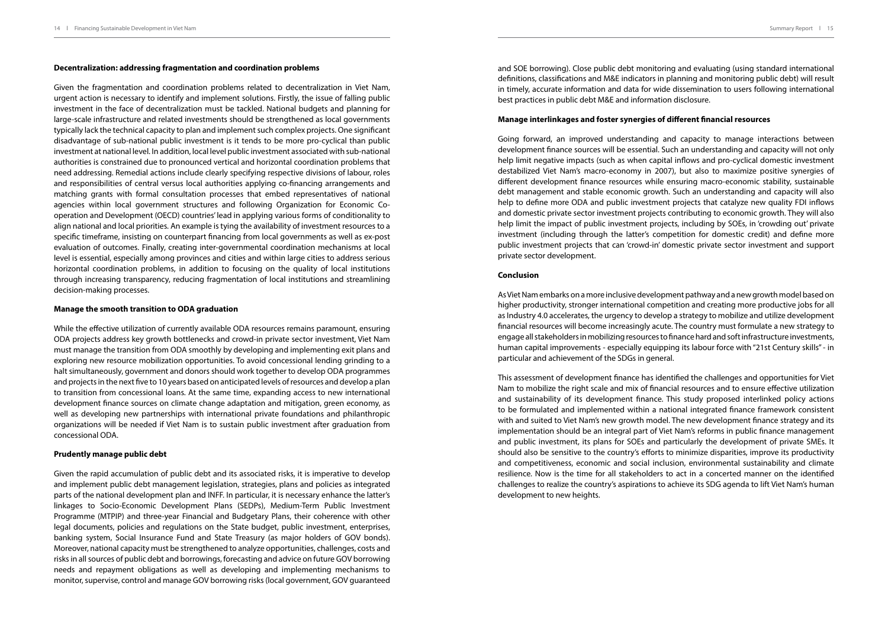#### **Decentralization: addressing fragmentation and coordination problems**

Given the fragmentation and coordination problems related to decentralization in Viet Nam, urgent action is necessary to identify and implement solutions. Firstly, the issue of falling public investment in the face of decentralization must be tackled. National budgets and planning for large-scale infrastructure and related investments should be strengthened as local governments typically lack the technical capacity to plan and implement such complex projects. One significant disadvantage of sub-national public investment is it tends to be more pro-cyclical than public investment at national level. In addition, local level public investment associated with sub-national authorities is constrained due to pronounced vertical and horizontal coordination problems that need addressing. Remedial actions include clearly specifying respective divisions of labour, roles and responsibilities of central versus local authorities applying co-financing arrangements and matching grants with formal consultation processes that embed representatives of national agencies within local government structures and following Organization for Economic Cooperation and Development (OECD) countries' lead in applying various forms of conditionality to align national and local priorities. An example is tying the availability of investment resources to a specific timeframe, insisting on counterpart financing from local governments as well as ex-post evaluation of outcomes. Finally, creating inter-governmental coordination mechanisms at local level is essential, especially among provinces and cities and within large cities to address serious horizontal coordination problems, in addition to focusing on the quality of local institutions through increasing transparency, reducing fragmentation of local institutions and streamlining decision-making processes.

#### **Manage the smooth transition to ODA graduation**

While the effective utilization of currently available ODA resources remains paramount, ensuring ODA projects address key growth bottlenecks and crowd-in private sector investment, Viet Nam must manage the transition from ODA smoothly by developing and implementing exit plans and exploring new resource mobilization opportunities. To avoid concessional lending grinding to a halt simultaneously, government and donors should work together to develop ODA programmes and projects in the next five to 10 years based on anticipated levels of resources and develop a plan to transition from concessional loans. At the same time, expanding access to new international development finance sources on climate change adaptation and mitigation, green economy, as well as developing new partnerships with international private foundations and philanthropic organizations will be needed if Viet Nam is to sustain public investment after graduation from concessional ODA.

#### **Prudently manage public debt**

Given the rapid accumulation of public debt and its associated risks, it is imperative to develop and implement public debt management legislation, strategies, plans and policies as integrated parts of the national development plan and INFF. In particular, it is necessary enhance the latter's linkages to Socio-Economic Development Plans (SEDPs), Medium-Term Public Investment Programme (MTPIP) and three-year Financial and Budgetary Plans, their coherence with other legal documents, policies and regulations on the State budget, public investment, enterprises, banking system, Social Insurance Fund and State Treasury (as major holders of GOV bonds). Moreover, national capacity must be strengthened to analyze opportunities, challenges, costs and risks in all sources of public debt and borrowings, forecasting and advice on future GOV borrowing needs and repayment obligations as well as developing and implementing mechanisms to monitor, supervise, control and manage GOV borrowing risks (local government, GOV guaranteed and SOE borrowing). Close public debt monitoring and evaluating (using standard international definitions, classifications and M&E indicators in planning and monitoring public debt) will result in timely, accurate information and data for wide dissemination to users following international best practices in public debt M&E and information disclosure.

#### **Manage interlinkages and foster synergies of different financial resources**

Going forward, an improved understanding and capacity to manage interactions between development finance sources will be essential. Such an understanding and capacity will not only help limit negative impacts (such as when capital inflows and pro-cyclical domestic investment destabilized Viet Nam's macro-economy in 2007), but also to maximize positive synergies of different development finance resources while ensuring macro-economic stability, sustainable debt management and stable economic growth. Such an understanding and capacity will also help to define more ODA and public investment projects that catalyze new quality FDI inflows and domestic private sector investment projects contributing to economic growth. They will also help limit the impact of public investment projects, including by SOEs, in 'crowding out' private investment (including through the latter's competition for domestic credit) and define more public investment projects that can 'crowd-in' domestic private sector investment and support private sector development.

#### **Conclusion**

As Viet Nam embarks on a more inclusive development pathway and a new growth model based on higher productivity, stronger international competition and creating more productive jobs for all as Industry 4.0 accelerates, the urgency to develop a strategy to mobilize and utilize development financial resources will become increasingly acute. The country must formulate a new strategy to engage all stakeholders in mobilizing resources to finance hard and soft infrastructure investments, human capital improvements - especially equipping its labour force with "21st Century skills" - in particular and achievement of the SDGs in general.

This assessment of development finance has identified the challenges and opportunities for Viet Nam to mobilize the right scale and mix of financial resources and to ensure effective utilization and sustainability of its development finance. This study proposed interlinked policy actions to be formulated and implemented within a national integrated finance framework consistent with and suited to Viet Nam's new growth model. The new development finance strategy and its implementation should be an integral part of Viet Nam's reforms in public finance management and public investment, its plans for SOEs and particularly the development of private SMEs. It should also be sensitive to the country's efforts to minimize disparities, improve its productivity and competitiveness, economic and social inclusion, environmental sustainability and climate resilience. Now is the time for all stakeholders to act in a concerted manner on the identified challenges to realize the country's aspirations to achieve its SDG agenda to lift Viet Nam's human development to new heights.